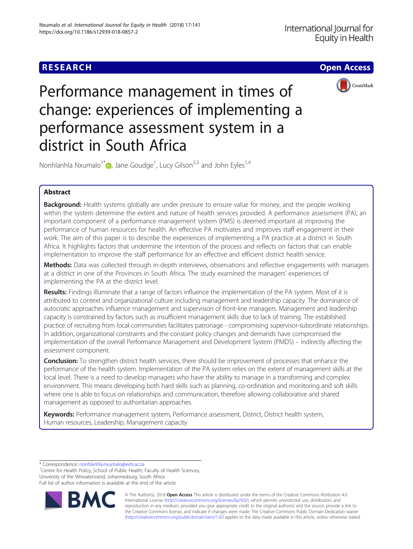## **RESEARCH CHE Open Access**



# Performance management in times of change: experiences of implementing a performance assessment system in a district in South Africa

Nonhlanhla Nxumalo<sup>1[\\*](http://orcid.org/0000-0002-1935-2204)</sup> $\textcolor{blue}{\bullet}$ , Jane Goudge<sup>1</sup>, Lucy Gilson<sup>2,3</sup> and John Eyles<sup>1,4</sup>

## Abstract

Background: Health systems globally are under pressure to ensure value for money, and the people working within the system determine the extent and nature of health services provided. A performance assessment (PA); an important component of a performance management system (PMS) is deemed important at improving the performance of human resources for health. An effective PA motivates and improves staff engagement in their work. The aim of this paper is to describe the experiences of implementing a PA practice at a district in South Africa. It highlights factors that undermine the intention of the process and reflects on factors that can enable implementation to improve the staff performance for an effective and efficient district health service.

Methods: Data was collected through in-depth interviews, observations and reflective engagements with managers at a district in one of the Provinces in South Africa. The study examined the managers' experiences of implementing the PA at the district level.

Results: Findings illuminate that a range of factors influence the implementation of the PA system. Most of it is attributed to context and organizational culture including management and leadership capacity. The dominance of autocratic approaches influence management and supervision of front-line managers. Management and leadership capacity is constrained by factors such as insufficient management skills due to lack of training. The established practice of recruiting from local communities facilitates patronage - compromising supervisor-subordinate relationships. In addition, organizational constraints and the constant policy changes and demands have compromised the implementation of the overall Performance Management and Development System (PMDS) – indirectly affecting the assessment component.

Conclusion: To strengthen district health services, there should be improvement of processes that enhance the performance of the health system. Implementation of the PA system relies on the extent of management skills at the local level. There is a need to develop managers who have the ability to manage in a transforming and complex environment. This means developing both hard skills such as planning, co-ordination and monitoring and soft skills where one is able to focus on relationships and communication, therefore allowing collaborative and shared management as opposed to authoritarian approaches.

Keywords: Performance management system, Performance assessment, District, District health system, Human resources, Leadership, Management capacity

\* Correspondence: [nonhlanhla.nxumalo@wits.ac.za](mailto:nonhlanhla.nxumalo@wits.ac.za) <sup>1</sup>

<sup>1</sup> Centre for Health Policy, School of Public Health; Faculty of Health Sciences, University of the Witwatersrand, Johannesburg, South Africa Full list of author information is available at the end of the article



© The Author(s). 2018 Open Access This article is distributed under the terms of the Creative Commons Attribution 4.0 International License [\(http://creativecommons.org/licenses/by/4.0/](http://creativecommons.org/licenses/by/4.0/)), which permits unrestricted use, distribution, and reproduction in any medium, provided you give appropriate credit to the original author(s) and the source, provide a link to the Creative Commons license, and indicate if changes were made. The Creative Commons Public Domain Dedication waiver [\(http://creativecommons.org/publicdomain/zero/1.0/](http://creativecommons.org/publicdomain/zero/1.0/)) applies to the data made available in this article, unless otherwise stated.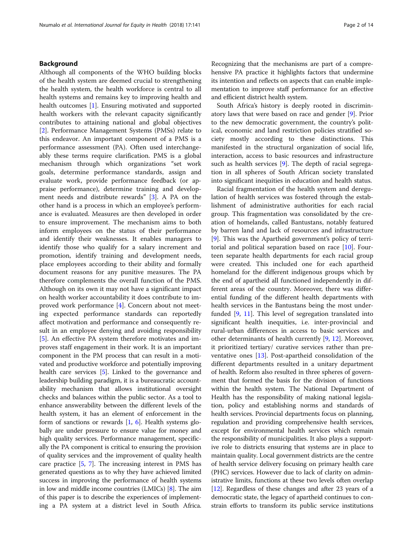Although all components of the WHO building blocks of the health system are deemed crucial to strengthening the health system, the health workforce is central to all health systems and remains key to improving health and health outcomes [\[1\]](#page-12-0). Ensuring motivated and supported health workers with the relevant capacity significantly contributes to attaining national and global objectives [[2\]](#page-12-0). Performance Management Systems (PMSs) relate to this endeavor. An important component of a PMS is a performance assessment (PA). Often used interchangeably these terms require clarification. PMS is a global mechanism through which organizations "set work goals, determine performance standards, assign and evaluate work, provide performance feedback (or appraise performance), determine training and development needs and distribute rewards" [\[3](#page-12-0)]. A PA on the other hand is a process in which an employee's performance is evaluated. Measures are then developed in order to ensure improvement. The mechanism aims to both inform employees on the status of their performance and identify their weaknesses. It enables managers to identify those who qualify for a salary increment and promotion, identify training and development needs, place employees according to their ability and formally document reasons for any punitive measures. The PA therefore complements the overall function of the PMS. Although on its own it may not have a significant impact on health worker accountability it does contribute to improved work performance [[4\]](#page-12-0). Concern about not meeting expected performance standards can reportedly affect motivation and performance and consequently result in an employee denying and avoiding responsibility [[5\]](#page-12-0). An effective PA system therefore motivates and improves staff engagement in their work. It is an important component in the PM process that can result in a motivated and productive workforce and potentially improving health care services [\[5\]](#page-12-0). Linked to the governance and leadership building paradigm, it is a bureaucratic accountability mechanism that allows institutional oversight checks and balances within the public sector. As a tool to enhance answerability between the different levels of the health system, it has an element of enforcement in the form of sanctions or rewards  $[1, 6]$  $[1, 6]$  $[1, 6]$  $[1, 6]$ . Health systems globally are under pressure to ensure value for money and high quality services. Performance management, specifically the PA component is critical to ensuring the provision of quality services and the improvement of quality health care practice [[5](#page-12-0), [7\]](#page-12-0). The increasing interest in PMS has generated questions as to why they have achieved limited success in improving the performance of health systems in low and middle income countries (LMICs) [\[8](#page-13-0)]. The aim of this paper is to describe the experiences of implementing a PA system at a district level in South Africa.

Recognizing that the mechanisms are part of a comprehensive PA practice it highlights factors that undermine its intention and reflects on aspects that can enable implementation to improve staff performance for an effective and efficient district health system.

South Africa's history is deeply rooted in discriminatory laws that were based on race and gender [[9](#page-13-0)]. Prior to the new democratic government, the country's political, economic and land restriction policies stratified society mostly according to these distinctions. This manifested in the structural organization of social life, interaction, access to basic resources and infrastructure such as health services [[9\]](#page-13-0). The depth of racial segregation in all spheres of South African society translated into significant inequities in education and health status.

Racial fragmentation of the health system and deregulation of health services was fostered through the establishment of administrative authorities for each racial group. This fragmentation was consolidated by the creation of homelands, called Bantustans, notably featured by barren land and lack of resources and infrastructure [[9\]](#page-13-0). This was the Apartheid government's policy of territorial and political separation based on race [[10\]](#page-13-0). Fourteen separate health departments for each racial group were created. This included one for each apartheid homeland for the different indigenous groups which by the end of apartheid all functioned independently in different areas of the country. Moreover, there was differential funding of the different health departments with health services in the Bantustans being the most underfunded [\[9](#page-13-0), [11](#page-13-0)]. This level of segregation translated into significant health inequities, i.e. inter-provincial and rural-urban differences in access to basic services and other determinants of health currently [[9,](#page-13-0) [12\]](#page-13-0). Moreover, it prioritized tertiary/ curative services rather than preventative ones [[13](#page-13-0)]. Post-apartheid consolidation of the different departments resulted in a unitary department of health. Reform also resulted in three spheres of government that formed the basis for the division of functions within the health system. The National Department of Health has the responsibility of making national legislation, policy and establishing norms and standards of health services. Provincial departments focus on planning, regulation and providing comprehensive health services, except for environmental health services which remain the responsibility of municipalities. It also plays a supportive role to districts ensuring that systems are in place to maintain quality. Local government districts are the centre of health service delivery focusing on primary health care (PHC) services. However due to lack of clarity on administrative limits, functions at these two levels often overlap [[12](#page-13-0)]. Regardless of these changes and after 23 years of a democratic state, the legacy of apartheid continues to constrain efforts to transform its public service institutions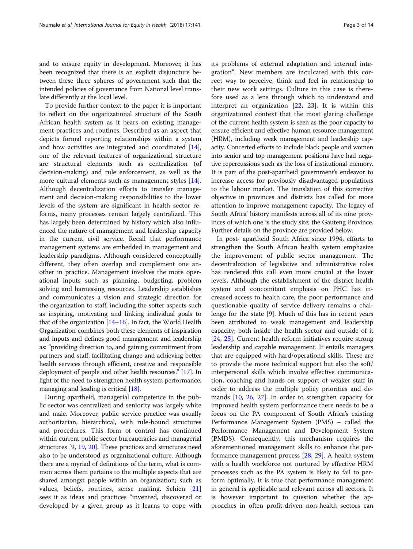and to ensure equity in development. Moreover, it has been recognized that there is an explicit disjuncture between these three spheres of government such that the intended policies of governance from National level translate differently at the local level.

To provide further context to the paper it is important to reflect on the organizational structure of the South African health system as it bears on existing management practices and routines. Described as an aspect that depicts formal reporting relationships within a system and how activities are integrated and coordinated [\[14](#page-13-0)], one of the relevant features of organizational structure are structural elements such as centralization (of decision-making) and rule enforcement, as well as the more cultural elements such as management styles [\[14](#page-13-0)]. Although decentralization efforts to transfer management and decision-making responsibilities to the lower levels of the system are significant in health sector reforms, many processes remain largely centralized. This has largely been determined by history which also influenced the nature of management and leadership capacity in the current civil service. Recall that performance management systems are embedded in management and leadership paradigms. Although considered conceptually different, they often overlap and complement one another in practice. Management involves the more operational inputs such as planning, budgeting, problem solving and harnessing resources. Leadership establishes and communicates a vision and strategic direction for the organization to staff, including the softer aspects such as inspiring, motivating and linking individual goals to that of the organization  $[14–16]$  $[14–16]$  $[14–16]$  $[14–16]$ . In fact, the World Health Organization combines both these elements of inspiration and inputs and defines good management and leadership as: "providing direction to, and gaining commitment from partners and staff, facilitating change and achieving better health services through efficient, creative and responsible deployment of people and other health resources." [\[17\]](#page-13-0). In light of the need to strengthen health system performance, managing and leading is critical [[18](#page-13-0)].

During apartheid, managerial competence in the public sector was centralized and seniority was largely white and male. Moreover, public service practice was usually authoritarian, hierarchical, with rule-bound structures and procedures. This form of control has continued within current public sector bureaucracies and managerial structures [[9](#page-13-0), [19](#page-13-0), [20](#page-13-0)]. These practices and structures need also to be understood as organizational culture. Although there are a myriad of definitions of the term, what is common across them pertains to the multiple aspects that are shared amongst people within an organization; such as values, beliefs, routines, sense making. Schien [\[21](#page-13-0)] sees it as ideas and practices "invented, discovered or developed by a given group as it learns to cope with its problems of external adaptation and internal integration". New members are inculcated with this correct way to perceive, think and feel in relationship to their new work settings. Culture in this case is therefore used as a lens through which to understand and interpret an organization [\[22](#page-13-0), [23\]](#page-13-0). It is within this organizational context that the most glaring challenge of the current health system is seen as the poor capacity to ensure efficient and effective human resource management (HRM), including weak management and leadership capacity. Concerted efforts to include black people and women into senior and top management positions have had negative repercussions such as the loss of institutional memory. It is part of the post-apartheid government's endeavor to increase access for previously disadvantaged populations to the labour market. The translation of this corrective objective in provinces and districts has called for more attention to improve management capacity. The legacy of South Africa' history manifests across all of its nine provinces of which one is the study site; the Gauteng Province. Further details on the province are provided below.

In post- apartheid South Africa since 1994, efforts to strengthen the South African health system emphasize the improvement of public sector management. The decentralization of legislative and administrative roles has rendered this call even more crucial at the lower levels. Although the establishment of the district health system and concomitant emphasis on PHC has increased access to health care, the poor performance and questionable quality of service delivery remains a challenge for the state [[9\]](#page-13-0). Much of this has in recent years been attributed to weak management and leadership capacity; both inside the health sector and outside of it [[24,](#page-13-0) [25](#page-13-0)]. Current health reform initiatives require strong leadership and capable management. It entails managers that are equipped with hard/operational skills. These are to provide the more technical support but also the soft/ interpersonal skills which involve effective communication, coaching and hands-on support of weaker staff in order to address the multiple policy priorities and demands [\[10,](#page-13-0) [26,](#page-13-0) [27](#page-13-0)]. In order to strengthen capacity for improved health system performance there needs to be a focus on the PA component of South Africa's existing Performance Management System (PMS) – called the Performance Management and Development System (PMDS). Consequently, this mechanism requires the aforementioned management skills to enhance the performance management process [[28,](#page-13-0) [29\]](#page-13-0). A health system with a health workforce not nurtured by effective HRM processes such as the PA system is likely to fail to perform optimally. It is true that performance management in general is applicable and relevant across all sectors. It is however important to question whether the approaches in often profit-driven non-health sectors can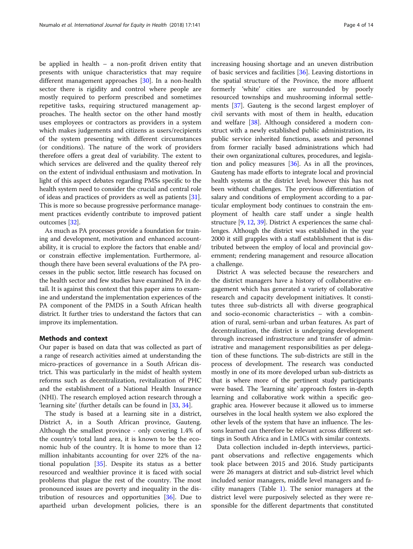be applied in health – a non-profit driven entity that presents with unique characteristics that may require different management approaches [\[30](#page-13-0)]. In a non-health sector there is rigidity and control where people are mostly required to perform prescribed and sometimes repetitive tasks, requiring structured management approaches. The health sector on the other hand mostly uses employees or contractors as providers in a system which makes judgements and citizens as users/recipients of the system presenting with different circumstances (or conditions). The nature of the work of providers therefore offers a great deal of variability. The extent to which services are delivered and the quality thereof rely on the extent of individual enthusiasm and motivation. In light of this aspect debates regarding PMSs specific to the health system need to consider the crucial and central role of ideas and practices of providers as well as patients [[31](#page-13-0)]. This is more so because progressive performance management practices evidently contribute to improved patient outcomes [\[32\]](#page-13-0).

As much as PA processes provide a foundation for training and development, motivation and enhanced accountability, it is crucial to explore the factors that enable and/ or constrain effective implementation. Furthermore, although there have been several evaluations of the PA processes in the public sector, little research has focused on the health sector and few studies have examined PA in detail. It is against this context that this paper aims to examine and understand the implementation experiences of the PA component of the PMDS in a South African health district. It further tries to understand the factors that can improve its implementation.

## Methods and context

Our paper is based on data that was collected as part of a range of research activities aimed at understanding the micro-practices of governance in a South African district. This was particularly in the midst of health system reforms such as decentralization, revitalization of PHC and the establishment of a National Health Insurance (NHI). The research employed action research through a 'learning site' (further details can be found in [[33](#page-13-0), [34](#page-13-0)].

The study is based at a learning site in a district, District A, in a South African province, Gauteng. Although the smallest province - only covering 1.4% of the country's total land area, it is known to be the economic hub of the country. It is home to more than 12 million inhabitants accounting for over 22% of the national population [\[35\]](#page-13-0). Despite its status as a better resourced and wealthier province it is faced with social problems that plague the rest of the country. The most pronounced issues are poverty and inequality in the distribution of resources and opportunities [\[36](#page-13-0)]. Due to apartheid urban development policies, there is an increasing housing shortage and an uneven distribution of basic services and facilities [[36](#page-13-0)]. Leaving distortions in the spatial structure of the Province, the more affluent formerly 'white' cities are surrounded by poorly resourced townships and mushrooming informal settlements [\[37](#page-13-0)]. Gauteng is the second largest employer of civil servants with most of them in health, education and welfare [[38\]](#page-13-0). Although considered a modern construct with a newly established public administration, its public service inherited functions, assets and personnel from former racially based administrations which had their own organizational cultures, procedures, and legislation and policy measures  $[36]$  $[36]$  $[36]$ . As in all the provinces, Gauteng has made efforts to integrate local and provincial health systems at the district level; however this has not been without challenges. The previous differentiation of salary and conditions of employment according to a particular employment body continues to constrain the employment of health care staff under a single health structure [[9,](#page-13-0) [12](#page-13-0), [39\]](#page-13-0). District A experiences the same challenges. Although the district was established in the year 2000 it still grapples with a staff establishment that is distributed between the employ of local and provincial government; rendering management and resource allocation a challenge.

District A was selected because the researchers and the district managers have a history of collaborative engagement which has generated a variety of collaborative research and capacity development initiatives. It constitutes three sub-districts all with diverse geographical and socio-economic characteristics – with a combination of rural, semi-urban and urban features. As part of decentralization, the district is undergoing development through increased infrastructure and transfer of administrative and management responsibilities as per delegation of these functions. The sub-districts are still in the process of development. The research was conducted mostly in one of its more developed urban sub-districts as that is where more of the pertinent study participants were based. The 'learning site' approach fosters in-depth learning and collaborative work within a specific geographic area. However because it allowed us to immerse ourselves in the local health system we also explored the other levels of the system that have an influence. The lessons learned can therefore be relevant across different settings in South Africa and in LMICs with similar contexts.

Data collection included in-depth interviews, participant observations and reflective engagements which took place between 2015 and 2016. Study participants were 26 managers at district and sub-district level which included senior managers, middle level managers and facility managers (Table [1](#page-4-0)). The senior managers at the district level were purposively selected as they were responsible for the different departments that constituted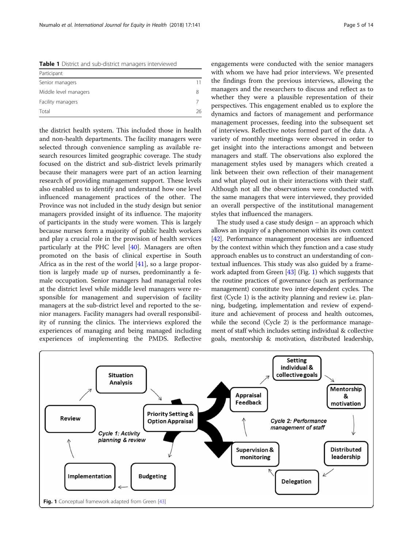<span id="page-4-0"></span>Table 1 District and sub-district managers interviewed

| Participant           |    |
|-----------------------|----|
| Senior managers       | 11 |
| Middle level managers |    |
| Facility managers     |    |
| Total                 | 26 |

the district health system. This included those in health and non-health departments. The facility managers were selected through convenience sampling as available research resources limited geographic coverage. The study focused on the district and sub-district levels primarily because their managers were part of an action learning research of providing management support. These levels also enabled us to identify and understand how one level influenced management practices of the other. The Province was not included in the study design but senior managers provided insight of its influence. The majority of participants in the study were women. This is largely because nurses form a majority of public health workers and play a crucial role in the provision of health services particularly at the PHC level [\[40\]](#page-13-0). Managers are often promoted on the basis of clinical expertise in South Africa as in the rest of the world  $[41]$  $[41]$ , so a large proportion is largely made up of nurses, predominantly a female occupation. Senior managers had managerial roles at the district level while middle level managers were responsible for management and supervision of facility managers at the sub-district level and reported to the senior managers. Facility managers had overall responsibility of running the clinics. The interviews explored the experiences of managing and being managed including experiences of implementing the PMDS. Reflective

engagements were conducted with the senior managers with whom we have had prior interviews. We presented the findings from the previous interviews, allowing the managers and the researchers to discuss and reflect as to whether they were a plausible representation of their perspectives. This engagement enabled us to explore the dynamics and factors of management and performance management processes, feeding into the subsequent set of interviews. Reflective notes formed part of the data. A variety of monthly meetings were observed in order to get insight into the interactions amongst and between managers and staff. The observations also explored the management styles used by managers which created a link between their own reflection of their management and what played out in their interactions with their staff. Although not all the observations were conducted with the same managers that were interviewed, they provided an overall perspective of the institutional management styles that influenced the managers.

The study used a case study design – an approach which allows an inquiry of a phenomenon within its own context [[42](#page-13-0)]. Performance management processes are influenced by the context within which they function and a case study approach enables us to construct an understanding of contextual influences. This study was also guided by a framework adapted from Green [\[43\]](#page-13-0) (Fig. 1) which suggests that the routine practices of governance (such as performance management) constitute two inter-dependent cycles. The first (Cycle 1) is the activity planning and review i.e. planning, budgeting, implementation and review of expenditure and achievement of process and health outcomes, while the second (Cycle 2) is the performance management of staff which includes setting individual & collective goals, mentorship & motivation, distributed leadership,

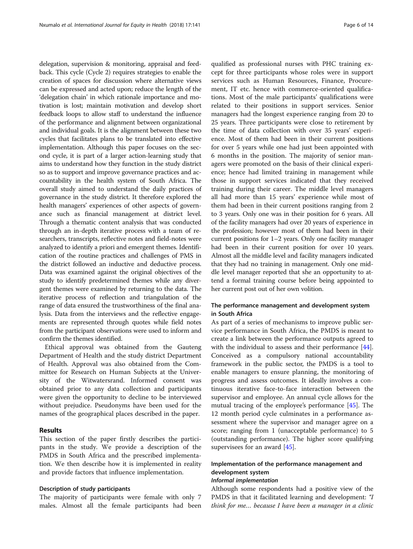delegation, supervision & monitoring, appraisal and feedback. This cycle (Cycle 2) requires strategies to enable the creation of spaces for discussion where alternative views can be expressed and acted upon; reduce the length of the 'delegation chain' in which rationale importance and motivation is lost; maintain motivation and develop short feedback loops to allow staff to understand the influence of the performance and alignment between organizational and individual goals. It is the alignment between these two cycles that facilitates plans to be translated into effective implementation. Although this paper focuses on the second cycle, it is part of a larger action-learning study that aims to understand how they function in the study district so as to support and improve governance practices and accountability in the health system of South Africa. The overall study aimed to understand the daily practices of governance in the study district. It therefore explored the health managers' experiences of other aspects of governance such as financial management at district level. Through a thematic content analysis that was conducted through an in-depth iterative process with a team of researchers, transcripts, reflective notes and field-notes were analyzed to identify a priori and emergent themes. Identification of the routine practices and challenges of PMS in the district followed an inductive and deductive process. Data was examined against the original objectives of the study to identify predetermined themes while any divergent themes were examined by returning to the data. The iterative process of reflection and triangulation of the range of data ensured the trustworthiness of the final analysis. Data from the interviews and the reflective engagements are represented through quotes while field notes from the participant observations were used to inform and confirm the themes identified.

Ethical approval was obtained from the Gauteng Department of Health and the study district Department of Health. Approval was also obtained from the Committee for Research on Human Subjects at the University of the Witwatersrand. Informed consent was obtained prior to any data collection and participants were given the opportunity to decline to be interviewed without prejudice. Pseudonyms have been used for the names of the geographical places described in the paper.

### Results

This section of the paper firstly describes the participants in the study. We provide a description of the PMDS in South Africa and the prescribed implementation. We then describe how it is implemented in reality and provide factors that influence implementation.

#### Description of study participants

The majority of participants were female with only 7 males. Almost all the female participants had been

qualified as professional nurses with PHC training except for three participants whose roles were in support services such as Human Resources, Finance, Procurement, IT etc. hence with commerce-oriented qualifications. Most of the male participants' qualifications were related to their positions in support services. Senior managers had the longest experience ranging from 20 to 25 years. Three participants were close to retirement by the time of data collection with over 35 years' experience. Most of them had been in their current positions for over 5 years while one had just been appointed with 6 months in the position. The majority of senior managers were promoted on the basis of their clinical experience; hence had limited training in management while those in support services indicated that they received training during their career. The middle level managers all had more than 15 years' experience while most of them had been in their current positions ranging from 2 to 3 years. Only one was in their position for 6 years. All of the facility managers had over 20 years of experience in the profession; however most of them had been in their current positions for 1–2 years. Only one facility manager had been in their current position for over 10 years. Almost all the middle level and facility managers indicated that they had no training in management. Only one middle level manager reported that she an opportunity to attend a formal training course before being appointed to her current post out of her own volition.

## The performance management and development system in South Africa

As part of a series of mechanisms to improve public service performance in South Africa, the PMDS is meant to create a link between the performance outputs agreed to with the individual to assess and their performance [\[44](#page-13-0)]. Conceived as a compulsory national accountability framework in the public sector, the PMDS is a tool to enable managers to ensure planning, the monitoring of progress and assess outcomes. It ideally involves a continuous iterative face-to-face interaction between the supervisor and employee. An annual cycle allows for the mutual tracing of the employee's performance [[45](#page-13-0)]. The 12 month period cycle culminates in a performance assessment where the supervisor and manager agree on a score; ranging from 1 (unacceptable performance) to 5 (outstanding performance). The higher score qualifying supervisees for an award [[45\]](#page-13-0).

## Implementation of the performance management and development system

## Informal implementation

Although some respondents had a positive view of the PMDS in that it facilitated learning and development: "I think for me… because I have been a manager in a clinic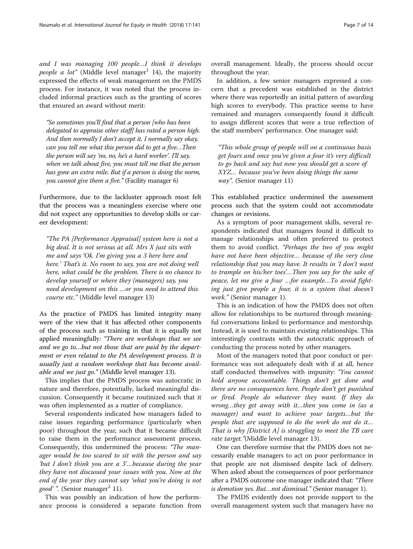and I was managing 100 people…I think it develops people a lot" (Middle level manager<sup>1</sup> 14), the majority expressed the effects of weak management on the PMDS process. For instance, it was noted that the process included informal practices such as the granting of scores that ensured an award without merit:

"So sometimes you'll find that a person [who has been delegated to appraise other staff] has rated a person high. And then normally I don't accept it. I normally say okay, can you tell me what this person did to get a five…Then the person will say 'no, no, he's a hard worker'. I'll say, when we talk about five, you must tell me that the person has gone an extra mile. But if a person is doing the norm, you cannot give them a five." (Facility manager 6)

Furthermore, due to the lackluster approach most felt that the process was a meaningless exercise where one did not expect any opportunities to develop skills or career development:

"The PA [Performance Appraisal] system here is not a big deal. It is not serious at all. Mrs X just sits with me and says 'Ok. I'm giving you a 3 here here and here.' That's it. No room to say, you are not doing well here, what could be the problem. There is no chance to develop yourself or where they (managers) say, you need development on this …or you need to attend this course etc." (Middle level manager 13)

As the practice of PMDS has limited integrity many were of the view that it has affected other components of the process such as training in that it is equally not applied meaningfully: "There are workshops that we see and we go to…but not those that are paid by the department or even related to the PA development process. It is usually just a random workshop that has become available and we just go." (Middle level manager 13).

This implies that the PMDS process was autocratic in nature and therefore, potentially, lacked meaningful discussion. Consequently it became routinized such that it was often implemented as a matter of compliance.

Several respondents indicated how managers failed to raise issues regarding performance (particularly when poor) throughout the year, such that it became difficult to raise them in the performance assessment process. Consequently, this undermined the process: "The manager would be too scared to sit with the person and say 'but I don't think you are a 3'…because during the year they have not discussed your issues with you. Now at the end of the year they cannot say 'what you're doing is not *good'* ". (Senior manager<sup>2</sup> 11).

This was possibly an indication of how the performance process is considered a separate function from overall management. Ideally, the process should occur throughout the year.

In addition, a few senior managers expressed a concern that a precedent was established in the district where there was reportedly an initial pattern of awarding high scores to everybody. This practice seems to have remained and managers consequently found it difficult to assign different scores that were a true reflection of the staff members' performance. One manager said:

"This whole group of people will on a continuous basis get fours and once you've given a four it's very difficult to go back and say but now you should get a score of XYZ… because you've been doing things the same way". (Senior manager 11)

This established practice undermined the assessment process such that the system could not accommodate changes or revisions.

As a symptom of poor management skills, several respondents indicated that managers found it difficult to manage relationships and often preferred to protect them to avoid conflict. "Perhaps the two of you might have not have been objective… because of the very close relationship that you may have. It results in 'I don't want to trample on his/her toes'…Then you say for the sake of peace, let me give a four …for example…To avoid fighting just give people a four, it is a system that doesn't work." (Senior manager 1).

This is an indication of how the PMDS does not often allow for relationships to be nurtured through meaningful conversations linked to performance and mentorship. Instead, it is used to maintain existing relationships. This interestingly contrasts with the autocratic approach of conducting the process noted by other managers.

Most of the managers noted that poor conduct or performance was not adequately dealt with if at all, hence staff conducted themselves with impunity: "You cannot hold anyone accountable. Things don't get done and there are no consequences here. People don't get punished or fired. People do whatever they want. If they do wrong…they get away with it…then you come in (as a manager) and want to achieve your targets…but the people that are supposed to do the work do not do it… That is why [District A] is struggling to meet the TB care rate target."(Middle level manager 13).

One can therefore surmise that the PMDS does not necessarily enable managers to act on poor performance in that people are not dismissed despite lack of delivery. When asked about the consequences of poor performance after a PMDS outcome one manager indicated that: "There is demotion yes. But…not dismissal." (Senior manager 1).

The PMDS evidently does not provide support to the overall management system such that managers have no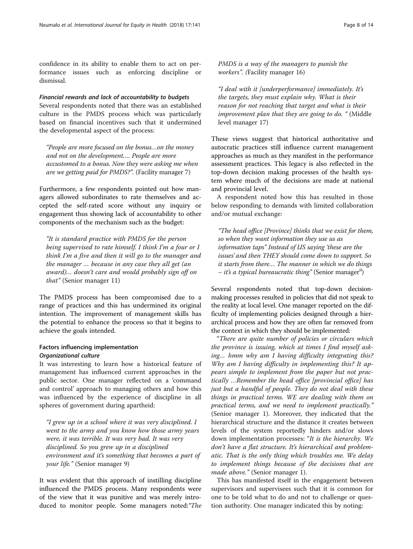confidence in its ability to enable them to act on performance issues such as enforcing discipline or dismissal.

#### Financial rewards and lack of accountability to budgets

Several respondents noted that there was an established culture in the PMDS process which was particularly based on financial incentives such that it undermined the developmental aspect of the process:

"People are more focused on the bonus…on the money and not on the development…. People are more accustomed to a bonus. Now they were asking me when are we getting paid for PMDS?". (Facility manager 7)

Furthermore, a few respondents pointed out how managers allowed subordinates to rate themselves and accepted the self-rated score without any inquiry or engagement thus showing lack of accountability to other components of the mechanism such as the budget:

"It is standard practice with PMDS for the person being supervised to rate himself. I think I'm a four or I think I'm a five and then it will go to the manager and the manager … because in any case they all get (an award)… doesn't care and would probably sign off on that" (Senior manager 11)

The PMDS process has been compromised due to a range of practices and this has undermined its original intention. The improvement of management skills has the potential to enhance the process so that it begins to achieve the goals intended.

## Factors influencing implementation Organizational culture

It was interesting to learn how a historical feature of management has influenced current approaches in the public sector. One manager reflected on a 'command and control' approach to managing others and how this was influenced by the experience of discipline in all spheres of government during apartheid:

"I grew up in a school where it was very disciplined. I went to the army and you know how those army years were, it was terrible. It was very bad. It was very disciplined. So you grew up in a disciplined environment and it's something that becomes a part of your life." (Senior manager 9)

It was evident that this approach of instilling discipline influenced the PMDS process. Many respondents were of the view that it was punitive and was merely introduced to monitor people. Some managers noted:"The PMDS is a way of the managers to punish the workers". (Facility manager 16)

"I deal with it [underperformance] immediately. It's the targets, they must explain why. What is their reason for not reaching that target and what is their improvement plan that they are going to do. " (Middle level manager 17)

These views suggest that historical authoritative and autocratic practices still influence current management approaches as much as they manifest in the performance assessment practices. This legacy is also reflected in the top-down decision making processes of the health system where much of the decisions are made at national and provincial level.

A respondent noted how this has resulted in those below responding to demands with limited collaboration and/or mutual exchange:

"The head office [Province] thinks that we exist for them, so when they want information they use us as information taps" Instead of US saying 'these are the issues' and then THEY should come down to support. So it starts from there… The manner in which we do things *– it's a typical bureaucratic thing*" (Senior manager<sup>ii</sup>)

Several respondents noted that top-down decisionmaking processes resulted in policies that did not speak to the reality at local level. One manager reported on the difficulty of implementing policies designed through a hierarchical process and how they are often far removed from the context in which they should be implemented:

"There are quite number of policies or circulars which the province is issuing, which at times I find myself asking… hmm why am I having difficulty integrating this? Why am I having difficulty in implementing this? It appears simple to implement from the paper but not practically …Remember the head office [provincial office] has just but a handful of people. They do not deal with these things in practical terms. WE are dealing with them on practical terms, and we need to implement practically." (Senior manager 1). Moreover, they indicated that the hierarchical structure and the distance it creates between levels of the system reportedly hinders and/or slows down implementation processes: "It is the hierarchy. We don't have a flat structure. It's hierarchical and problematic. That is the only thing which troubles me. We delay to implement things because of the decisions that are made above." (Senior manager 1).

This has manifested itself in the engagement between supervisors and supervisees such that it is common for one to be told what to do and not to challenge or question authority. One manager indicated this by noting: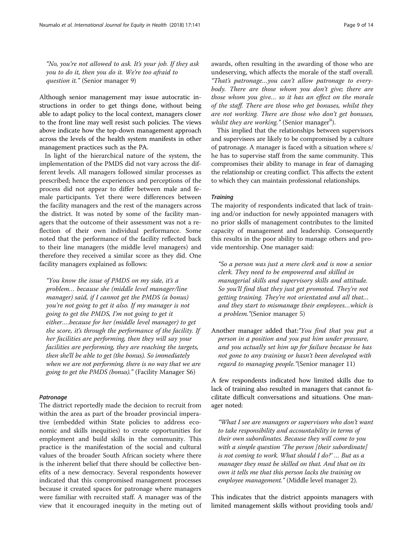"No, you're not allowed to ask. It's your job. If they ask you to do it, then you do it. We're too afraid to question it." (Senior manager 9)

Although senior management may issue autocratic instructions in order to get things done, without being able to adapt policy to the local context, managers closer to the front line may well resist such policies. The views above indicate how the top-down management approach across the levels of the health system manifests in other management practices such as the PA.

In light of the hierarchical nature of the system, the implementation of the PMDS did not vary across the different levels. All managers followed similar processes as prescribed; hence the experiences and perceptions of the process did not appear to differ between male and female participants. Yet there were differences between the facility managers and the rest of the managers across the district. It was noted by some of the facility managers that the outcome of their assessment was not a reflection of their own individual performance. Some noted that the performance of the facility reflected back to their line managers (the middle level managers) and therefore they received a similar score as they did. One facility managers explained as follows:

"You know the issue of PMDS on my side, it's a problem… because she (middle level manager/line manager) said, if I cannot get the PMDS (a bonus) you're not going to get it also. If my manager is not going to get the PMDS, I'm not going to get it either….because for her (middle level manager) to get the score, it's through the performance of the facility. If her facilities are performing, then they will say your facilities are performing, they are reaching the targets, then she'll be able to get (the bonus). So immediately when we are not performing, there is no way that we are going to get the PMDS (bonus)." (Facility Manager S6)

## Patronage

The district reportedly made the decision to recruit from within the area as part of the broader provincial imperative (embedded within State policies to address economic and skills inequities) to create opportunities for employment and build skills in the community. This practice is the manifestation of the social and cultural values of the broader South African society where there is the inherent belief that there should be collective benefits of a new democracy. Several respondents however indicated that this compromised management processes because it created spaces for patronage where managers were familiar with recruited staff. A manager was of the view that it encouraged inequity in the meting out of awards, often resulting in the awarding of those who are undeserving, which affects the morale of the staff overall. "That's patronage…you can't allow patronage to everybody. There are those whom you don't give; there are those whom you give… so it has an effect on the morale of the staff. There are those who get bonuses, whilst they are not working. There are those who don't get bonuses, *whilst they are working.*" (Senior manager<sup>ii</sup>).

This implied that the relationships between supervisors and supervisees are likely to be compromised by a culture of patronage. A manager is faced with a situation where s/ he has to supervise staff from the same community. This compromises their ability to manage in fear of damaging the relationship or creating conflict. This affects the extent to which they can maintain professional relationships.

## **Training**

The majority of respondents indicated that lack of training and/or induction for newly appointed managers with no prior skills of management contributes to the limited capacity of management and leadership. Consequently this results in the poor ability to manage others and provide mentorship. One manager said:

"So a person was just a mere clerk and is now a senior clerk. They need to be empowered and skilled in managerial skills and supervisory skills and attitude. So you'll find that they just get promoted. They're not getting training. They're not orientated and all that… and they start to mismanage their employees…which is a problem."(Senior manager 5)

Another manager added that:"You find that you put a person in a position and you put him under pressure, and you actually set him up for failure because he has not gone to any training or hasn't been developed with regard to managing people."(Senior manager 11)

A few respondents indicated how limited skills due to lack of training also resulted in managers that cannot facilitate difficult conversations and situations. One manager noted:

"What I see are managers or supervisors who don't want to take responsibility and accountability in terms of their own subordinates. Because they will come to you with a simple question 'The person [their subordinate] is not coming to work. What should I do?' … But as a manager they must be skilled on that. And that on its own it tells me that this person lacks the training on employee management." (Middle level manager 2).

This indicates that the district appoints managers with limited management skills without providing tools and/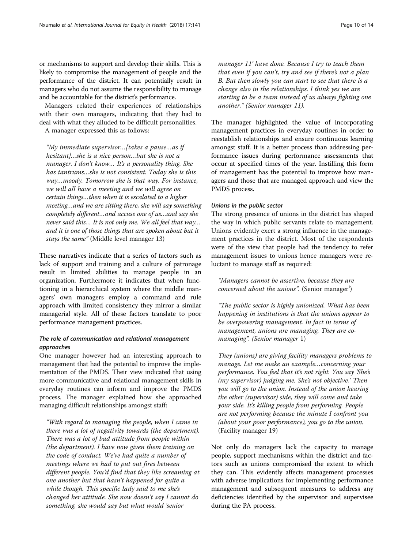or mechanisms to support and develop their skills. This is likely to compromise the management of people and the performance of the district. It can potentially result in managers who do not assume the responsibility to manage and be accountable for the district's performance.

Managers related their experiences of relationships with their own managers, indicating that they had to deal with what they alluded to be difficult personalities.

A manager expressed this as follows:

"My immediate supervisor…[takes a pause…as if hesitant]...she is a nice person...but she is not a manager. I don't know… It's a personality thing. She has tantrums…she is not consistent. Today she is this way…moody. Tomorrow she is that way. For instance, we will all have a meeting and we will agree on certain things…then when it is escalated to a higher meeting…and we are sitting there, she will say something completely different…and accuse one of us…and say she never said this… It is not only me. We all feel that way… and it is one of those things that are spoken about but it stays the same" (Middle level manager 13)

These narratives indicate that a series of factors such as lack of support and training and a culture of patronage result in limited abilities to manage people in an organization. Furthermore it indicates that when functioning in a hierarchical system where the middle managers' own managers employ a command and rule approach with limited consistency they mirror a similar managerial style. All of these factors translate to poor performance management practices.

## The role of communication and relational management approaches

One manager however had an interesting approach to management that had the potential to improve the implementation of the PMDS. Their view indicated that using more communicative and relational management skills in everyday routines can inform and improve the PMDS process. The manager explained how she approached managing difficult relationships amongst staff:

"With regard to managing the people, when I came in there was a lot of negativity towards (the department). There was a lot of bad attitude from people within (the department). I have now given them training on the code of conduct. We've had quite a number of meetings where we had to put out fires between different people. You'd find that they like screaming at one another but that hasn't happened for quite a while though. This specific lady said to me she's changed her attitude. She now doesn't say I cannot do something, she would say but what would 'senior

manager 11' have done. Because I try to teach them that even if you can't, try and see if there's not a plan B. But then slowly you can start to see that there is a change also in the relationships. I think yes we are starting to be a team instead of us always fighting one another." (Senior manager 11).

The manager highlighted the value of incorporating management practices in everyday routines in order to reestablish relationships and ensure continuous learning amongst staff. It is a better process than addressing performance issues during performance assessments that occur at specified times of the year. Instilling this form of management has the potential to improve how managers and those that are managed approach and view the PMDS process.

## Unions in the public sector

The strong presence of unions in the district has shaped the way in which public servants relate to management. Unions evidently exert a strong influence in the management practices in the district. Most of the respondents were of the view that people had the tendency to refer management issues to unions hence managers were reluctant to manage staff as required:

"Managers cannot be assertive, because they are concerned about the unions". (Senior manager<sup>i</sup>)

"The public sector is highly unionized. What has been happening in institutions is that the unions appear to be overpowering management. In fact in terms of management, unions are managing. They are comanaging". (Senior manager 1)

They (unions) are giving facility managers problems to manage. Let me make an example…concerning your performance. You feel that it's not right. You say 'She's (my supervisor) judging me. She's not objective.' Then you will go to the union. Instead of the union hearing the other (supervisor) side, they will come and take your side. It's killing people from performing. People are not performing because the minute I confront you (about your poor performance), you go to the union. (Facility manager 19)

Not only do managers lack the capacity to manage people, support mechanisms within the district and factors such as unions compromised the extent to which they can. This evidently affects management processes with adverse implications for implementing performance management and subsequent measures to address any deficiencies identified by the supervisor and supervisee during the PA process.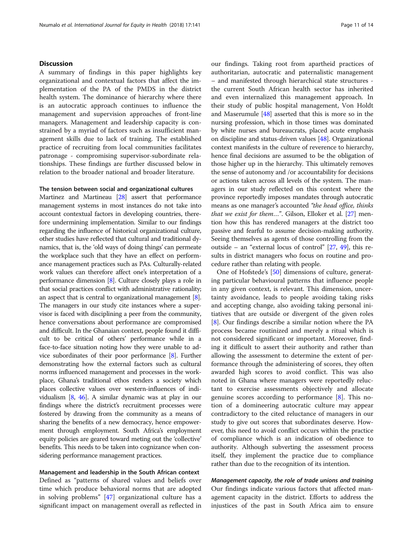### **Discussion**

A summary of findings in this paper highlights key organizational and contextual factors that affect the implementation of the PA of the PMDS in the district health system. The dominance of hierarchy where there is an autocratic approach continues to influence the management and supervision approaches of front-line managers. Management and leadership capacity is constrained by a myriad of factors such as insufficient management skills due to lack of training. The established practice of recruiting from local communities facilitates patronage - compromising supervisor-subordinate relationships. These findings are further discussed below in relation to the broader national and broader literature.

## The tension between social and organizational cultures

Martinez and Martineau [[28](#page-13-0)] assert that performance management systems in most instances do not take into account contextual factors in developing countries, therefore undermining implementation. Similar to our findings regarding the influence of historical organizational culture, other studies have reflected that cultural and traditional dynamics, that is, the 'old ways of doing things' can permeate the workplace such that they have an effect on performance management practices such as PAs. Culturally-related work values can therefore affect one's interpretation of a performance dimension [[8](#page-13-0)]. Culture closely plays a role in that social practices conflict with administrative rationality; an aspect that is central to organizational management [[8](#page-13-0)]. The managers in our study cite instances where a supervisor is faced with disciplining a peer from the community, hence conversations about performance are compromised and difficult. In the Ghanaian context, people found it difficult to be critical of others' performance while in a face-to-face situation noting how they were unable to advice subordinates of their poor performance [[8](#page-13-0)]. Further demonstrating how the external factors such as cultural norms influenced management and processes in the workplace, Ghana's traditional ethos renders a society which places collective values over western-influences of individualism [\[8,](#page-13-0) [46\]](#page-13-0). A similar dynamic was at play in our findings where the district's recruitment processes were fostered by drawing from the community as a means of sharing the benefits of a new democracy, hence empowerment through employment. South Africa's employment equity policies are geared toward meting out the 'collective' benefits. This needs to be taken into cognizance when considering performance management practices.

## Management and leadership in the South African context

Defined as "patterns of shared values and beliefs over time which produce behavioral norms that are adopted in solving problems" [[47\]](#page-13-0) organizational culture has a significant impact on management overall as reflected in our findings. Taking root from apartheid practices of authoritarian, autocratic and paternalistic management – and manifested through hierarchical state structures the current South African health sector has inherited and even internalized this management approach. In their study of public hospital management, Von Holdt and Maserumule [[48](#page-13-0)] asserted that this is more so in the nursing profession, which in those times was dominated by white nurses and bureaucrats, placed acute emphasis on discipline and status-driven values [[48](#page-13-0)]. Organizational context manifests in the culture of reverence to hierarchy, hence final decisions are assumed to be the obligation of those higher up in the hierarchy. This ultimately removes the sense of autonomy and /or accountability for decisions or actions taken across all levels of the system. The managers in our study reflected on this context where the province reportedly imposes mandates through autocratic means as one manager's accounted "the head office, thinks that we exist for them...". Gilson, Elloker et al.  $[27]$  mention how this has rendered managers at the district too passive and fearful to assume decision-making authority. Seeing themselves as agents of those controlling from the outside – an "external locus of control" [\[27,](#page-13-0) [49](#page-13-0)], this results in district managers who focus on routine and procedure rather than relating with people.

One of Hofstede's [\[50\]](#page-13-0) dimensions of culture, generating particular behavioural patterns that influence people in any given context, is relevant. This dimension, uncertainty avoidance, leads to people avoiding taking risks and accepting change, also avoiding taking personal initiatives that are outside or divergent of the given roles [[8\]](#page-13-0). Our findings describe a similar notion where the PA process became routinized and merely a ritual which is not considered significant or important. Moreover, finding it difficult to assert their authority and rather than allowing the assessment to determine the extent of performance through the administering of scores, they often awarded high scores to avoid conflict. This was also noted in Ghana where managers were reportedly reluctant to exercise assessments objectively and allocate genuine scores according to performance [\[8](#page-13-0)]. This notion of a domineering autocratic culture may appear contradictory to the cited reluctance of managers in our study to give out scores that subordinates deserve. However, this need to avoid conflict occurs within the practice of compliance which is an indication of obedience to authority. Although subverting the assessment process itself, they implement the practice due to compliance rather than due to the recognition of its intention.

Management capacity, the role of trade unions and training Our findings indicate various factors that affected management capacity in the district. Efforts to address the injustices of the past in South Africa aim to ensure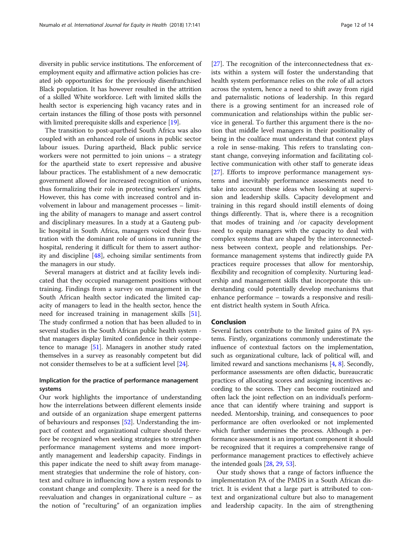diversity in public service institutions. The enforcement of employment equity and affirmative action policies has created job opportunities for the previously disenfranchised Black population. It has however resulted in the attrition of a skilled White workforce. Left with limited skills the health sector is experiencing high vacancy rates and in certain instances the filling of those posts with personnel with limited prerequisite skills and experience [[19](#page-13-0)].

The transition to post-apartheid South Africa was also coupled with an enhanced role of unions in public sector labour issues. During apartheid, Black public service workers were not permitted to join unions – a strategy for the apartheid state to exert repressive and abusive labour practices. The establishment of a new democratic government allowed for increased recognition of unions, thus formalizing their role in protecting workers' rights. However, this has come with increased control and involvement in labour and management processes – limiting the ability of managers to manage and assert control and disciplinary measures. In a study at a Gauteng public hospital in South Africa, managers voiced their frustration with the dominant role of unions in running the hospital, rendering it difficult for them to assert authority and discipline [[48](#page-13-0)], echoing similar sentiments from the managers in our study.

Several managers at district and at facility levels indicated that they occupied management positions without training. Findings from a survey on management in the South African health sector indicated the limited capacity of managers to lead in the health sector, hence the need for increased training in management skills [\[51](#page-13-0)]. The study confirmed a notion that has been alluded to in several studies in the South African public health system that managers display limited confidence in their competence to manage [[51](#page-13-0)]. Managers in another study rated themselves in a survey as reasonably competent but did not consider themselves to be at a sufficient level [\[24\]](#page-13-0).

## Implication for the practice of performance management systems

Our work highlights the importance of understanding how the interrelations between different elements inside and outside of an organization shape emergent patterns of behaviours and responses [[52\]](#page-13-0). Understanding the impact of context and organizational culture should therefore be recognized when seeking strategies to strengthen performance management systems and more importantly management and leadership capacity. Findings in this paper indicate the need to shift away from management strategies that undermine the role of history, context and culture in influencing how a system responds to constant change and complexity. There is a need for the reevaluation and changes in organizational culture – as the notion of "reculturing" of an organization implies [[27\]](#page-13-0). The recognition of the interconnectedness that exists within a system will foster the understanding that health system performance relies on the role of all actors across the system, hence a need to shift away from rigid and paternalistic notions of leadership. In this regard there is a growing sentiment for an increased role of communication and relationships within the public service in general. To further this argument there is the notion that middle level managers in their positionality of being in the coalface must understand that context plays a role in sense-making. This refers to translating constant change, conveying information and facilitating collective communication with other staff to generate ideas [[27\]](#page-13-0). Efforts to improve performance management systems and inevitably performance assessments need to take into account these ideas when looking at supervision and leadership skills. Capacity development and training in this regard should instill elements of doing things differently. That is, where there is a recognition that modes of training and /or capacity development need to equip managers with the capacity to deal with complex systems that are shaped by the interconnectedness between context, people and relationships. Performance management systems that indirectly guide PA practices require processes that allow for mentorship, flexibility and recognition of complexity. Nurturing leadership and management skills that incorporate this understanding could potentially develop mechanisms that enhance performance – towards a responsive and resilient district health system in South Africa.

## Conclusion

Several factors contribute to the limited gains of PA systems. Firstly, organizations commonly underestimate the influence of contextual factors on the implementation, such as organizational culture, lack of political will, and limited reward and sanctions mechanisms [\[4](#page-12-0), [8\]](#page-13-0). Secondly, performance assessments are often didactic, bureaucratic practices of allocating scores and assigning incentives according to the scores. They can become routinized and often lack the joint reflection on an individual's performance that can identify where training and support is needed. Mentorship, training, and consequences to poor performance are often overlooked or not implemented which further undermines the process. Although a performance assessment is an important component it should be recognized that it requires a comprehensive range of performance management practices to effectively achieve the intended goals [[28](#page-13-0), [29,](#page-13-0) [53\]](#page-13-0).

Our study shows that a range of factors influence the implementation PA of the PMDS in a South African district. It is evident that a large part is attributed to context and organizational culture but also to management and leadership capacity. In the aim of strengthening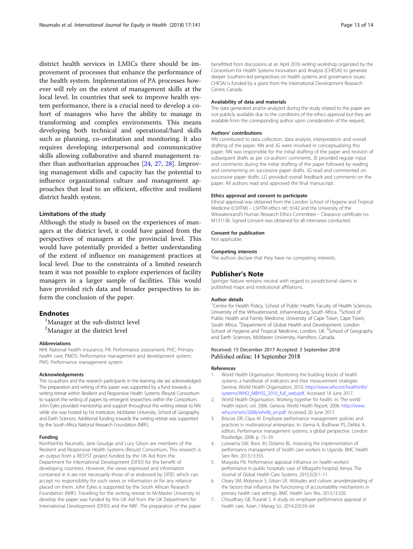<span id="page-12-0"></span>district health services in LMICs there should be improvement of processes that enhance the performance of the health system. Implementation of PA processes however will rely on the extent of management skills at the local level. In countries that seek to improve health system performance, there is a crucial need to develop a cohort of managers who have the ability to manage in transforming and complex environments. This means developing both technical and operational/hard skills such as planning, co-ordination and monitoring. It also requires developing interpersonal and communicative skills allowing collaborative and shared management rather than authoritarian approaches [[24](#page-13-0), [27,](#page-13-0) [28](#page-13-0)]. Improving management skills and capacity has the potential to influence organizational culture and management approaches that lead to an efficient, effective and resilient district health system.

#### Limitations of the study

Although the study is based on the experiences of managers at the district level, it could have gained from the perspectives of managers at the provincial level. This would have potentially provided a better understanding of the extent of influence on management practices at local level. Due to the constraints of a limited research team it was not possible to explore experiences of facility managers in a larger sample of facilities. This would have provided rich data and broader perspectives to inform the conclusion of the paper.

## **Endnotes**

<sup>1</sup>Manager at the sub-district level <sup>2</sup>Manager at the district level

#### Abbreviations

NHI: National health insurance; PA: Performance assessment; PHC: Primary health care; PMDS: Performance management and development system; PMS: Performance management system

#### Acknowledgements

The co-authors and the research participants in the learning site are acknowledged. The preparation and writing of this paper was supported by a fund towards a writing retreat within Resilient and Responsive Health Systems (Resyst) Consortium to support the writing of papers by emergent researchers within the Consortium. John Eyles provided mentorship and support throughout the writing retreat to NN while she was hosted by his institution, McMaster University, School of Geography and Earth Sciences. Additional funding towards the writing retreat was supported by the South Africa National Research Foundation (NRF).

#### Funding

Nonhlanhla Nxumalo, Jane Goudge and Lucy Gilson are members of the Resilient and Responsive Health Systems (Resyst) Consortium. This research is an output from a RESYST project funded by the UK Aid from the Department for International Development (DFID) for the benefit of developing countries. However, the views expressed and information contained in it are not necessarily those of or endorsed by DFID, which can accept no responsibility for such views or information or for any reliance placed on them. John Eyles is supported by the South African Research Foundation (NRF). Travelling for the writing retreat to McMaster University to develop the paper was funded by the UK Aid from the UK Department for International Development (DFID) and the NRF. The preparation of the paper

benefitted from discussions at an April 2016 writing workshop organized by the Consortium for Health Systems Innovation and Analysis (CHESAI) to generate deeper Southern-led perspectives on health systems and governance issues. CHESAI is funded by a grant from the International Development Research Centre, Canada.

#### Availability of data and materials

The data generated and/or analyzed during the study related to the paper are not publicly available due to the conditions of the ethics approval but they are available from the corresponding author upon consideration of the request.

#### Authors' contributions

NN contributed to data collection, data analysis, interpretation and overall drafting of the paper. NN and JG were involved in conceptualizing this paper. NN was responsible for the initial drafting of the paper and revision of subsequent drafts as per co-authors' comments. JE provided regular input and comments during the initial drafting of the paper followed by reading and commenting on successive paper drafts. JG read and commented on successive paper drafts. LG provided overall feedback and comments on the paper. All authors read and approved the final manuscript.

#### Ethics approval and consent to participate

Ethical approval was obtained from the London School of Hygiene and Tropical Medicine (LSHTM) – LSHTM ethics ref.: 6542 and the University of the Witwatersrand's Human Research Ethics Committee – Clearance certificate no. M131136. Signed consent was obtained for all interviews conducted.

#### Consent for publication

Not applicable.

#### Competing interests

The authors declare that they have no competing interests.

#### Publisher's Note

Springer Nature remains neutral with regard to jurisdictional claims in published maps and institutional affiliations.

#### Author details

<sup>1</sup> Centre for Health Policy, School of Public Health; Faculty of Health Sciences, University of the Witwatersrand, Johannesburg, South Africa. <sup>2</sup>School of Public Health and Family Medicine, University of Cape Town, Cape Town, South Africa. <sup>3</sup>Department of Global Health and Development, London School of Hygiene and Tropical Medicine, London, UK. <sup>4</sup>School of Geography and Earth Sciences, McMaster University, Hamilton, Canada.

#### Received: 15 December 2017 Accepted: 3 September 2018 Published online: 14 September 2018

#### References

- 1. World Health Organisation. Monitoring the building blocks of health systems: a handbook of indicators and their measurement strategies. Geneva: World Health Organisation; 2010. [http://www.who.int/healthinfo/](http://www.who.int/healthinfo/systems/WHO_MBHSS_2010_full_web.pdf) [systems/WHO\\_MBHSS\\_2010\\_full\\_web.pdf](http://www.who.int/healthinfo/systems/WHO_MBHSS_2010_full_web.pdf). Accessed 18 June 2017.
- 2. World Health Organisation. Working together for health. In: The world health report, vol. 2006. Geneva: World Health Report; 2006. [http://www.](http://www.who.int/whr/2006/whr06_en.pdf) [who.int/whr/2006/whr06\\_en.pdf](http://www.who.int/whr/2006/whr06_en.pdf). Accessed 20 June 2017.
- 3. Briscoe DR, Claus M. Employee performance management: policies and practices in multinational enterprises. In: Varma A, Budhwar PS, DeNisi A, editors. Performance management systems: a global perspective. London: Routledge; 2008. p. 15–39.
- 4. Lutwama GW, Roos JH, Dolamo BL. Assessing the implementation of performance management of health care workers in Uganda. BMC Health Serv Res. 2013;13:355.
- 5. Musyoka FN. Performance appraisal influence on health workers' performance in public hospitals: case of Mbagathi hospital, Kenya. The Journal of Global Health Care Systems. 2015;5(3):1–11.
- 6. Cleary SM, Molyneux S, Gilson LR. Attitudes and culture: anunderstanidng of the factors that influence the functioning of accountability mechanisms in primary health care settings. BMC Health Serv Res. 2013;13:320.
- 7. Choudhary GB, Puranik S. A study on employee performance appraisal in health care. Asian J Manag Sci. 2014;2(3):59–64.